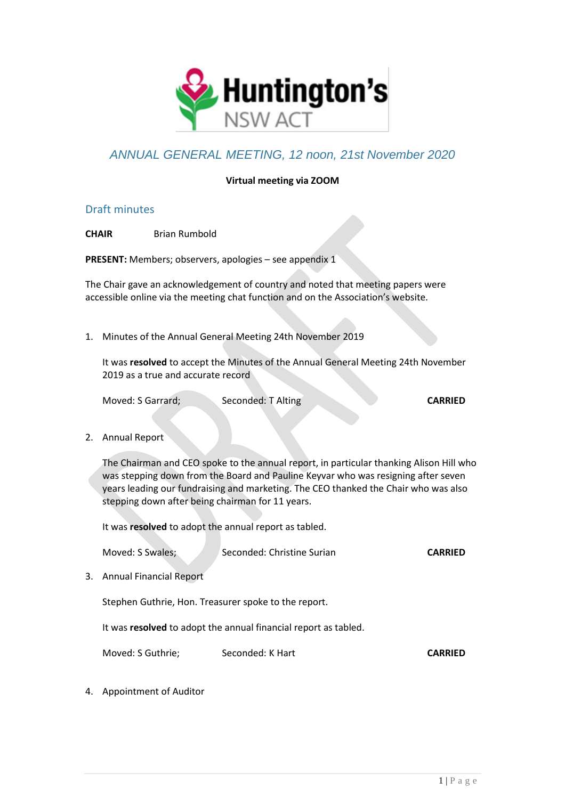

# *ANNUAL GENERAL MEETING, 12 noon, 21st November 2020*

### **Virtual meeting via ZOOM**

### Draft minutes

**CHAIR** Brian Rumbold

**PRESENT:** Members; observers, apologies – see appendix 1

The Chair gave an acknowledgement of country and noted that meeting papers were accessible online via the meeting chat function and on the Association's website.

1. Minutes of the Annual General Meeting 24th November 2019

It was **resolved** to accept the Minutes of the Annual General Meeting 24th November 2019 as a true and accurate record

Moved: S Garrard; Seconded: T Alting **CARRIED** 

2. Annual Report

The Chairman and CEO spoke to the annual report, in particular thanking Alison Hill who was stepping down from the Board and Pauline Keyvar who was resigning after seven years leading our fundraising and marketing. The CEO thanked the Chair who was also stepping down after being chairman for 11 years.

It was **resolved** to adopt the annual report as tabled.

Moved: S Swales; Seconded: Christine Surian **CARRIED** 

3. Annual Financial Report

Stephen Guthrie, Hon. Treasurer spoke to the report.

It was **resolved** to adopt the annual financial report as tabled.

Moved: S Guthrie; Seconded: K Hart **CARRIED** 

4. Appointment of Auditor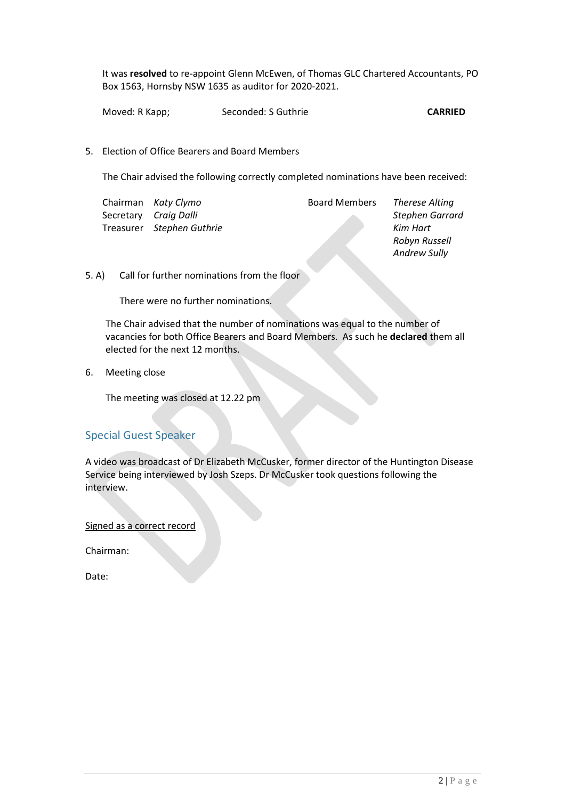It was **resolved** to re-appoint Glenn McEwen, of Thomas GLC Chartered Accountants, PO Box 1563, Hornsby NSW 1635 as auditor for 2020-2021.

Moved: R Kapp; Seconded: S Guthrie **CARRIED** 

5. Election of Office Bearers and Board Members

The Chair advised the following correctly completed nominations have been received:

|  | Chairman Katy Clymo       | <b>Board Members</b> | Therese Alting  |
|--|---------------------------|----------------------|-----------------|
|  | Secretary Craig Dalli     |                      | Stephen Garrard |
|  | Treasurer Stephen Guthrie |                      | Kim Hart        |
|  |                           |                      | Robyn Russell   |

#### 5. A) Call for further nominations from the floor

There were no further nominations.

The Chair advised that the number of nominations was equal to the number of vacancies for both Office Bearers and Board Members. As such he **declared** them all elected for the next 12 months.

6. Meeting close

The meeting was closed at 12.22 pm

# Special Guest Speaker

A video was broadcast of Dr Elizabeth McCusker, former director of the Huntington Disease Service being interviewed by Josh Szeps. Dr McCusker took questions following the interview.

Signed as a correct record

Chairman:

Date:

*Andrew Sully*